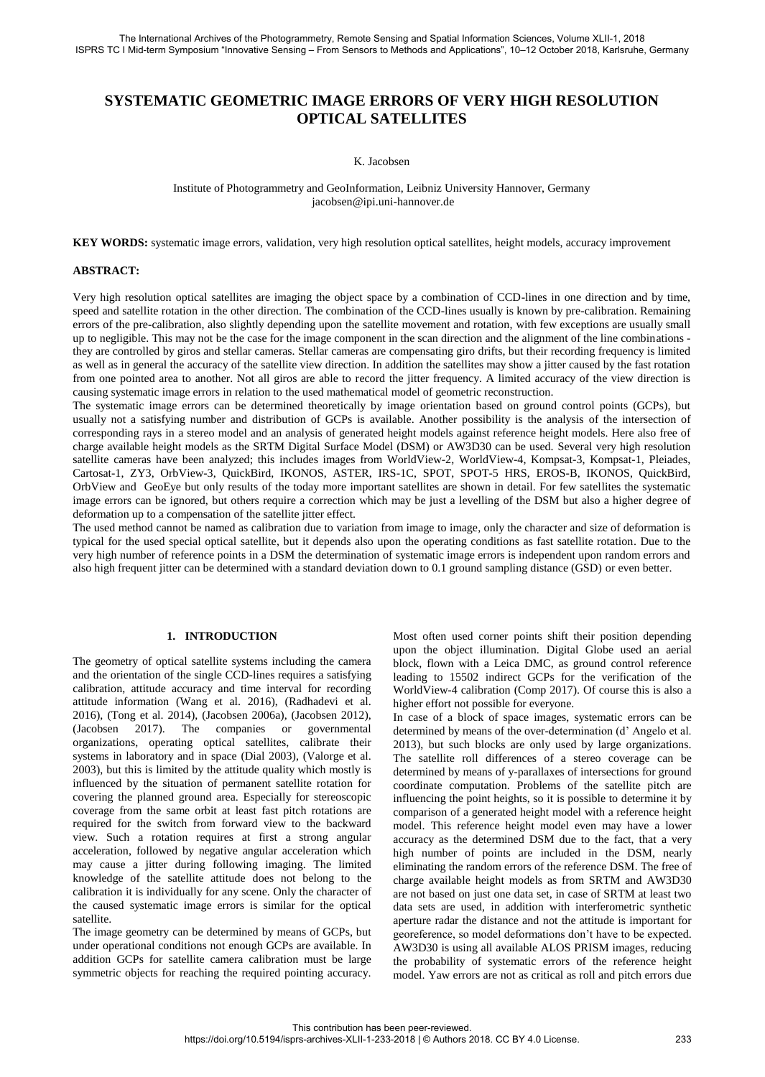# **SYSTEMATIC GEOMETRIC IMAGE ERRORS OF VERY HIGH RESOLUTION OPTICAL SATELLITES**

#### K. Jacobsen

### Institute of Photogrammetry and GeoInformation, Leibniz University Hannover, Germany jacobsen@ipi.uni-hannover.de

**KEY WORDS:** systematic image errors, validation, very high resolution optical satellites, height models, accuracy improvement

## **ABSTRACT:**

Very high resolution optical satellites are imaging the object space by a combination of CCD-lines in one direction and by time, speed and satellite rotation in the other direction. The combination of the CCD-lines usually is known by pre-calibration. Remaining errors of the pre-calibration, also slightly depending upon the satellite movement and rotation, with few exceptions are usually small up to negligible. This may not be the case for the image component in the scan direction and the alignment of the line combinations they are controlled by giros and stellar cameras. Stellar cameras are compensating giro drifts, but their recording frequency is limited as well as in general the accuracy of the satellite view direction. In addition the satellites may show a jitter caused by the fast rotation from one pointed area to another. Not all giros are able to record the jitter frequency. A limited accuracy of the view direction is causing systematic image errors in relation to the used mathematical model of geometric reconstruction.

The systematic image errors can be determined theoretically by image orientation based on ground control points (GCPs), but usually not a satisfying number and distribution of GCPs is available. Another possibility is the analysis of the intersection of corresponding rays in a stereo model and an analysis of generated height models against reference height models. Here also free of charge available height models as the SRTM Digital Surface Model (DSM) or AW3D30 can be used. Several very high resolution satellite cameras have been analyzed; this includes images from WorldView-2, WorldView-4, Kompsat-3, Kompsat-1, Pleiades, Cartosat-1, ZY3, OrbView-3, QuickBird, IKONOS, ASTER, IRS-1C, SPOT, SPOT-5 HRS, EROS-B, IKONOS, QuickBird, OrbView and GeoEye but only results of the today more important satellites are shown in detail. For few satellites the systematic image errors can be ignored, but others require a correction which may be just a levelling of the DSM but also a higher degree of deformation up to a compensation of the satellite jitter effect.

The used method cannot be named as calibration due to variation from image to image, only the character and size of deformation is typical for the used special optical satellite, but it depends also upon the operating conditions as fast satellite rotation. Due to the very high number of reference points in a DSM the determination of systematic image errors is independent upon random errors and also high frequent jitter can be determined with a standard deviation down to 0.1 ground sampling distance (GSD) or even better.

#### **1. INTRODUCTION**

The geometry of optical satellite systems including the camera and the orientation of the single CCD-lines requires a satisfying calibration, attitude accuracy and time interval for recording attitude information (Wang et al. 2016), (Radhadevi et al. 2016), (Tong et al. 2014), (Jacobsen 2006a), (Jacobsen 2012), (Jacobsen 2017). The companies or governmental organizations, operating optical satellites, calibrate their systems in laboratory and in space (Dial 2003), (Valorge et al. 2003), but this is limited by the attitude quality which mostly is influenced by the situation of permanent satellite rotation for covering the planned ground area. Especially for stereoscopic coverage from the same orbit at least fast pitch rotations are required for the switch from forward view to the backward view. Such a rotation requires at first a strong angular acceleration, followed by negative angular acceleration which may cause a jitter during following imaging. The limited knowledge of the satellite attitude does not belong to the calibration it is individually for any scene. Only the character of the caused systematic image errors is similar for the optical satellite.

The image geometry can be determined by means of GCPs, but under operational conditions not enough GCPs are available. In addition GCPs for satellite camera calibration must be large symmetric objects for reaching the required pointing accuracy.

Most often used corner points shift their position depending upon the object illumination. Digital Globe used an aerial block, flown with a Leica DMC, as ground control reference leading to 15502 indirect GCPs for the verification of the WorldView-4 calibration (Comp 2017). Of course this is also a higher effort not possible for everyone.

In case of a block of space images, systematic errors can be determined by means of the over-determination (d' Angelo et al. 2013), but such blocks are only used by large organizations. The satellite roll differences of a stereo coverage can be determined by means of y-parallaxes of intersections for ground coordinate computation. Problems of the satellite pitch are influencing the point heights, so it is possible to determine it by comparison of a generated height model with a reference height model. This reference height model even may have a lower accuracy as the determined DSM due to the fact, that a very high number of points are included in the DSM, nearly eliminating the random errors of the reference DSM. The free of charge available height models as from SRTM and AW3D30 are not based on just one data set, in case of SRTM at least two data sets are used, in addition with interferometric synthetic aperture radar the distance and not the attitude is important for georeference, so model deformations don't have to be expected. AW3D30 is using all available ALOS PRISM images, reducing the probability of systematic errors of the reference height model. Yaw errors are not as critical as roll and pitch errors due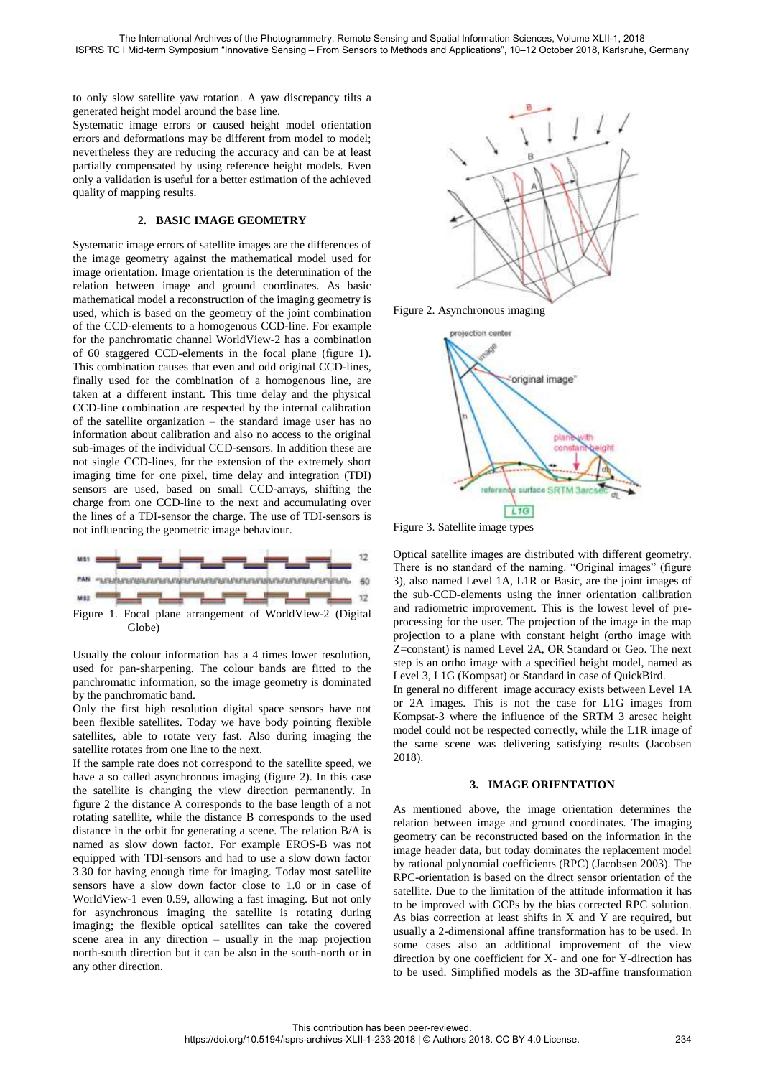to only slow satellite yaw rotation. A yaw discrepancy tilts a generated height model around the base line.

Systematic image errors or caused height model orientation errors and deformations may be different from model to model; nevertheless they are reducing the accuracy and can be at least partially compensated by using reference height models. Even only a validation is useful for a better estimation of the achieved quality of mapping results.

## **2. BASIC IMAGE GEOMETRY**

Systematic image errors of satellite images are the differences of the image geometry against the mathematical model used for image orientation. Image orientation is the determination of the relation between image and ground coordinates. As basic mathematical model a reconstruction of the imaging geometry is used, which is based on the geometry of the joint combination of the CCD-elements to a homogenous CCD-line. For example for the panchromatic channel WorldView-2 has a combination of 60 staggered CCD-elements in the focal plane (figure 1). This combination causes that even and odd original CCD-lines, finally used for the combination of a homogenous line, are taken at a different instant. This time delay and the physical CCD-line combination are respected by the internal calibration of the satellite organization – the standard image user has no information about calibration and also no access to the original sub-images of the individual CCD-sensors. In addition these are not single CCD-lines, for the extension of the extremely short imaging time for one pixel, time delay and integration (TDI) sensors are used, based on small CCD-arrays, shifting the charge from one CCD-line to the next and accumulating over the lines of a TDI-sensor the charge. The use of TDI-sensors is not influencing the geometric image behaviour.



Usually the colour information has a 4 times lower resolution, used for pan-sharpening. The colour bands are fitted to the panchromatic information, so the image geometry is dominated by the panchromatic band.

Only the first high resolution digital space sensors have not been flexible satellites. Today we have body pointing flexible satellites, able to rotate very fast. Also during imaging the satellite rotates from one line to the next.

If the sample rate does not correspond to the satellite speed, we have a so called asynchronous imaging (figure 2). In this case the satellite is changing the view direction permanently. In figure 2 the distance A corresponds to the base length of a not rotating satellite, while the distance B corresponds to the used distance in the orbit for generating a scene. The relation B/A is named as slow down factor. For example EROS-B was not equipped with TDI-sensors and had to use a slow down factor 3.30 for having enough time for imaging. Today most satellite sensors have a slow down factor close to 1.0 or in case of WorldView-1 even 0.59, allowing a fast imaging. But not only for asynchronous imaging the satellite is rotating during imaging; the flexible optical satellites can take the covered scene area in any direction – usually in the map projection north-south direction but it can be also in the south-north or in any other direction.



Figure 2. Asynchronous imaging



Figure 3. Satellite image types

Optical satellite images are distributed with different geometry. There is no standard of the naming. "Original images" (figure 3), also named Level 1A, L1R or Basic, are the joint images of the sub-CCD-elements using the inner orientation calibration and radiometric improvement. This is the lowest level of preprocessing for the user. The projection of the image in the map projection to a plane with constant height (ortho image with Z=constant) is named Level 2A, OR Standard or Geo. The next step is an ortho image with a specified height model, named as Level 3, L1G (Kompsat) or Standard in case of QuickBird.

In general no different image accuracy exists between Level 1A or 2A images. This is not the case for L1G images from Kompsat-3 where the influence of the SRTM 3 arcsec height model could not be respected correctly, while the L1R image of the same scene was delivering satisfying results (Jacobsen 2018).

#### **3. IMAGE ORIENTATION**

As mentioned above, the image orientation determines the relation between image and ground coordinates. The imaging geometry can be reconstructed based on the information in the image header data, but today dominates the replacement model by rational polynomial coefficients (RPC) (Jacobsen 2003). The RPC-orientation is based on the direct sensor orientation of the satellite. Due to the limitation of the attitude information it has to be improved with GCPs by the bias corrected RPC solution. As bias correction at least shifts in X and Y are required, but usually a 2-dimensional affine transformation has to be used. In some cases also an additional improvement of the view direction by one coefficient for X- and one for Y-direction has to be used. Simplified models as the 3D-affine transformation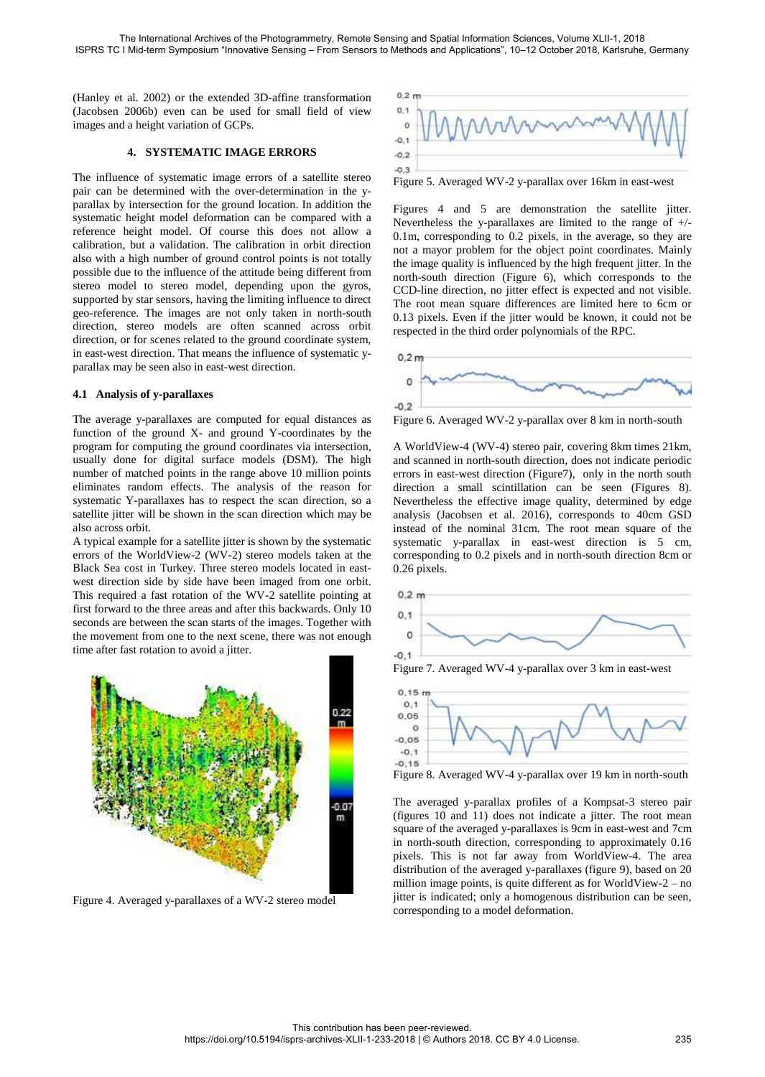(Hanley et al. 2002) or the extended 3D-affine transformation (Jacobsen 2006b) even can be used for small field of view images and a height variation of GCPs.

### **4. SYSTEMATIC IMAGE ERRORS**

The influence of systematic image errors of a satellite stereo pair can be determined with the over-determination in the yparallax by intersection for the ground location. In addition the systematic height model deformation can be compared with a reference height model. Of course this does not allow a calibration, but a validation. The calibration in orbit direction also with a high number of ground control points is not totally possible due to the influence of the attitude being different from stereo model to stereo model, depending upon the gyros, supported by star sensors, having the limiting influence to direct geo-reference. The images are not only taken in north-south direction, stereo models are often scanned across orbit direction, or for scenes related to the ground coordinate system, in east-west direction. That means the influence of systematic yparallax may be seen also in east-west direction.

### **4.1 Analysis of y-parallaxes**

The average y-parallaxes are computed for equal distances as function of the ground X- and ground Y-coordinates by the program for computing the ground coordinates via intersection, usually done for digital surface models (DSM). The high number of matched points in the range above 10 million points eliminates random effects. The analysis of the reason for systematic Y-parallaxes has to respect the scan direction, so a satellite jitter will be shown in the scan direction which may be also across orbit.

A typical example for a satellite jitter is shown by the systematic errors of the WorldView-2 (WV-2) stereo models taken at the Black Sea cost in Turkey. Three stereo models located in eastwest direction side by side have been imaged from one orbit. This required a fast rotation of the WV-2 satellite pointing at first forward to the three areas and after this backwards. Only 10 seconds are between the scan starts of the images. Together with the movement from one to the next scene, there was not enough time after fast rotation to avoid a jitter.



Figure 4. Averaged y-parallaxes of a WV-2 stereo model



Figure 5. Averaged WV-2 y-parallax over 16km in east-west

Figures 4 and 5 are demonstration the satellite jitter. Nevertheless the y-parallaxes are limited to the range of +/- 0.1m, corresponding to 0.2 pixels, in the average, so they are not a mayor problem for the object point coordinates. Mainly the image quality is influenced by the high frequent jitter. In the north-south direction (Figure 6), which corresponds to the CCD-line direction, no jitter effect is expected and not visible. The root mean square differences are limited here to 6cm or 0.13 pixels. Even if the jitter would be known, it could not be respected in the third order polynomials of the RPC.



Figure 6. Averaged WV-2 y-parallax over 8 km in north-south

A WorldView-4 (WV-4) stereo pair, covering 8km times 21km, and scanned in north-south direction, does not indicate periodic errors in east-west direction (Figure7), only in the north south direction a small scintillation can be seen (Figures 8). Nevertheless the effective image quality, determined by edge analysis (Jacobsen et al. 2016), corresponds to 40cm GSD instead of the nominal 31cm. The root mean square of the systematic y-parallax in east-west direction is 5 cm, corresponding to 0.2 pixels and in north-south direction 8cm or 0.26 pixels.



Figure 7. Averaged WV-4 y-parallax over 3 km in east-west



Figure 8. Averaged WV-4 y-parallax over 19 km in north-south

The averaged y-parallax profiles of a Kompsat-3 stereo pair (figures 10 and 11) does not indicate a jitter. The root mean square of the averaged y-parallaxes is 9cm in east-west and 7cm in north-south direction, corresponding to approximately 0.16 pixels. This is not far away from WorldView-4. The area distribution of the averaged y-parallaxes (figure 9), based on 20 million image points, is quite different as for WorldView-2 – no jitter is indicated; only a homogenous distribution can be seen, corresponding to a model deformation.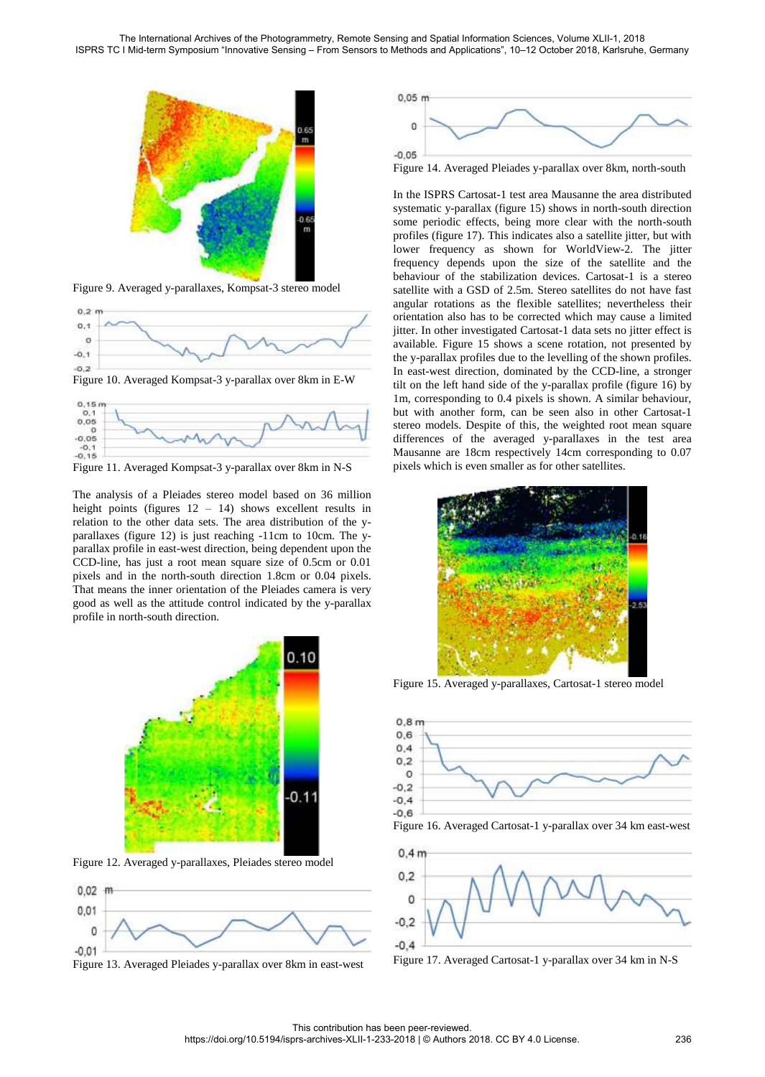

Figure 9. Averaged y-parallaxes, Kompsat-3 stereo model







Figure 11. Averaged Kompsat-3 y-parallax over 8km in N-S

The analysis of a Pleiades stereo model based on 36 million height points (figures  $12 - 14$ ) shows excellent results in relation to the other data sets. The area distribution of the yparallaxes (figure 12) is just reaching -11cm to 10cm. The yparallax profile in east-west direction, being dependent upon the CCD-line, has just a root mean square size of 0.5cm or 0.01 pixels and in the north-south direction 1.8cm or 0.04 pixels. That means the inner orientation of the Pleiades camera is very good as well as the attitude control indicated by the y-parallax profile in north-south direction.



Figure 12. Averaged y-parallaxes, Pleiades stereo model



Figure 13. Averaged Pleiades y-parallax over 8km in east-west



Figure 14. Averaged Pleiades y-parallax over 8km, north-south

In the ISPRS Cartosat-1 test area Mausanne the area distributed systematic y-parallax (figure 15) shows in north-south direction some periodic effects, being more clear with the north-south profiles (figure 17). This indicates also a satellite jitter, but with lower frequency as shown for WorldView-2. The jitter frequency depends upon the size of the satellite and the behaviour of the stabilization devices. Cartosat-1 is a stereo satellite with a GSD of 2.5m. Stereo satellites do not have fast angular rotations as the flexible satellites; nevertheless their orientation also has to be corrected which may cause a limited jitter. In other investigated Cartosat-1 data sets no jitter effect is available. Figure 15 shows a scene rotation, not presented by the y-parallax profiles due to the levelling of the shown profiles. In east-west direction, dominated by the CCD-line, a stronger tilt on the left hand side of the y-parallax profile (figure 16) by 1m, corresponding to 0.4 pixels is shown. A similar behaviour, but with another form, can be seen also in other Cartosat-1 stereo models. Despite of this, the weighted root mean square differences of the averaged y-parallaxes in the test area Mausanne are 18cm respectively 14cm corresponding to 0.07 pixels which is even smaller as for other satellites.



Figure 15. Averaged y-parallaxes, Cartosat-1 stereo model



Figure 16. Averaged Cartosat-1 y-parallax over 34 km east-west



Figure 17. Averaged Cartosat-1 y-parallax over 34 km in N-S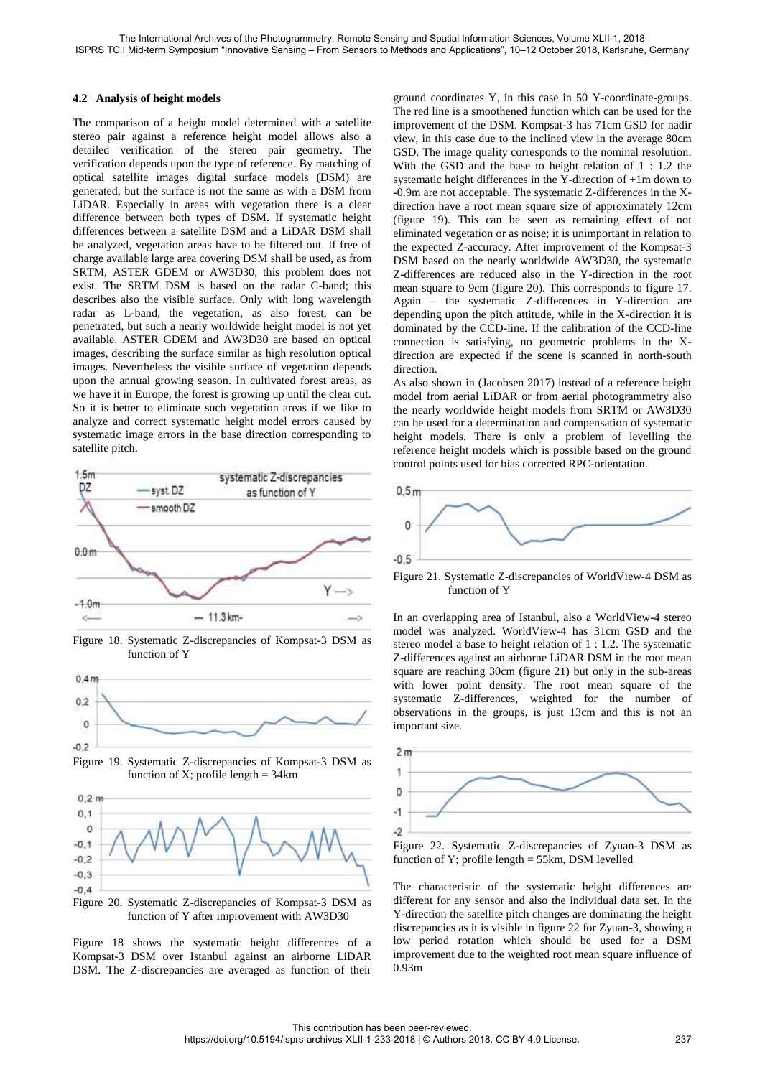## **4.2 Analysis of height models**

The comparison of a height model determined with a satellite stereo pair against a reference height model allows also a detailed verification of the stereo pair geometry. The verification depends upon the type of reference. By matching of optical satellite images digital surface models (DSM) are generated, but the surface is not the same as with a DSM from LiDAR. Especially in areas with vegetation there is a clear difference between both types of DSM. If systematic height differences between a satellite DSM and a LiDAR DSM shall be analyzed, vegetation areas have to be filtered out. If free of charge available large area covering DSM shall be used, as from SRTM, ASTER GDEM or AW3D30, this problem does not exist. The SRTM DSM is based on the radar C-band; this describes also the visible surface. Only with long wavelength radar as L-band, the vegetation, as also forest, can be penetrated, but such a nearly worldwide height model is not yet available. ASTER GDEM and AW3D30 are based on optical images, describing the surface similar as high resolution optical images. Nevertheless the visible surface of vegetation depends upon the annual growing season. In cultivated forest areas, as we have it in Europe, the forest is growing up until the clear cut. So it is better to eliminate such vegetation areas if we like to analyze and correct systematic height model errors caused by systematic image errors in the base direction corresponding to satellite pitch.



Figure 18. Systematic Z-discrepancies of Kompsat-3 DSM as function of Y



Figure 19. Systematic Z-discrepancies of Kompsat-3 DSM as function of X; profile length  $=$  34km



Figure 20. Systematic Z-discrepancies of Kompsat-3 DSM as function of Y after improvement with AW3D30

Figure 18 shows the systematic height differences of a Kompsat-3 DSM over Istanbul against an airborne LiDAR DSM. The Z-discrepancies are averaged as function of their ground coordinates Y, in this case in 50 Y-coordinate-groups. The red line is a smoothened function which can be used for the improvement of the DSM. Kompsat-3 has 71cm GSD for nadir view, in this case due to the inclined view in the average 80cm GSD. The image quality corresponds to the nominal resolution. With the GSD and the base to height relation of 1 : 1.2 the systematic height differences in the Y-direction of +1m down to -0.9m are not acceptable. The systematic Z-differences in the Xdirection have a root mean square size of approximately 12cm (figure 19). This can be seen as remaining effect of not eliminated vegetation or as noise; it is unimportant in relation to the expected Z-accuracy. After improvement of the Kompsat-3 DSM based on the nearly worldwide AW3D30, the systematic Z-differences are reduced also in the Y-direction in the root mean square to 9cm (figure 20). This corresponds to figure 17. Again – the systematic Z-differences in Y-direction are depending upon the pitch attitude, while in the X-direction it is dominated by the CCD-line. If the calibration of the CCD-line connection is satisfying, no geometric problems in the Xdirection are expected if the scene is scanned in north-south direction.

As also shown in (Jacobsen 2017) instead of a reference height model from aerial LiDAR or from aerial photogrammetry also the nearly worldwide height models from SRTM or AW3D30 can be used for a determination and compensation of systematic height models. There is only a problem of levelling the reference height models which is possible based on the ground control points used for bias corrected RPC-orientation.



Figure 21. Systematic Z-discrepancies of WorldView-4 DSM as function of Y

In an overlapping area of Istanbul, also a WorldView-4 stereo model was analyzed. WorldView-4 has 31cm GSD and the stereo model a base to height relation of 1 : 1.2. The systematic Z-differences against an airborne LiDAR DSM in the root mean square are reaching 30cm (figure 21) but only in the sub-areas with lower point density. The root mean square of the systematic Z-differences, weighted for the number of observations in the groups, is just 13cm and this is not an important size.



Figure 22. Systematic Z-discrepancies of Zyuan-3 DSM as function of Y; profile length = 55km, DSM levelled

The characteristic of the systematic height differences are different for any sensor and also the individual data set. In the Y-direction the satellite pitch changes are dominating the height discrepancies as it is visible in figure 22 for Zyuan-3, showing a low period rotation which should be used for a DSM improvement due to the weighted root mean square influence of 0.93m